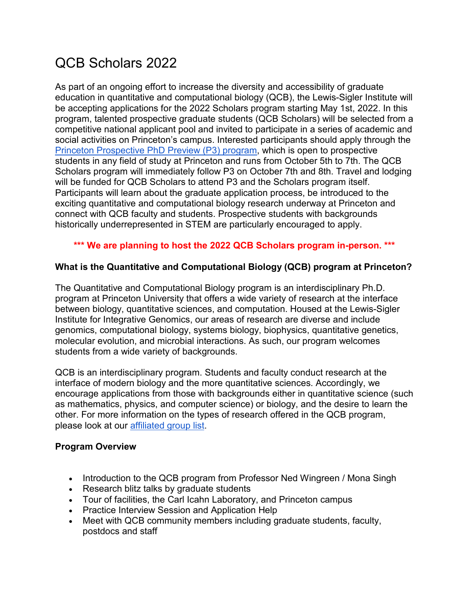# QCB Scholars 2022

As part of an ongoing effort to increase the diversity and accessibility of graduate education in quantitative and computational biology (QCB), the Lewis-Sigler Institute will be accepting applications for the 2022 Scholars program starting May 1st, 2022. In this program, talented prospective graduate students (QCB Scholars) will be selected from a competitive national applicant pool and invited to participate in a series of academic and social activities on Princeton's campus. Interested participants should apply through the [Princeton Prospective PhD Preview \(P3\) program,](https://graddiversity.princeton.edu/prospective-phd-preview-p3) which is open to prospective students in any field of study at Princeton and runs from October 5th to 7th. The QCB Scholars program will immediately follow P3 on October 7th and 8th. Travel and lodging will be funded for QCB Scholars to attend P3 and the Scholars program itself. Participants will learn about the graduate application process, be introduced to the exciting quantitative and computational biology research underway at Princeton and connect with QCB faculty and students. Prospective students with backgrounds historically underrepresented in STEM are particularly encouraged to apply.

## **\*\*\* We are planning to host the 2022 QCB Scholars program in-person. \*\*\***

#### **What is the Quantitative and Computational Biology (QCB) program at Princeton?**

The Quantitative and Computational Biology program is an interdisciplinary Ph.D. program at Princeton University that offers a wide variety of research at the interface between biology, quantitative sciences, and computation. Housed at the Lewis-Sigler Institute for Integrative Genomics, our areas of research are diverse and include genomics, computational biology, systems biology, biophysics, quantitative genetics, molecular evolution, and microbial interactions. As such, our program welcomes students from a wide variety of backgrounds.

QCB is an interdisciplinary program. Students and faculty conduct research at the interface of modern biology and the more quantitative sciences. Accordingly, we encourage applications from those with backgrounds either in quantitative science (such as mathematics, physics, and computer science) or biology, and the desire to learn the other. For more information on the types of research offered in the QCB program, please look at our [affiliated group list.](https://lsi.princeton.edu/qcbgraduate/faculty-research)

#### **Program Overview**

- Introduction to the QCB program from Professor Ned Wingreen / Mona Singh
- Research blitz talks by graduate students
- Tour of facilities, the Carl Icahn Laboratory, and Princeton campus
- Practice Interview Session and Application Help
- Meet with QCB community members including graduate students, faculty, postdocs and staff